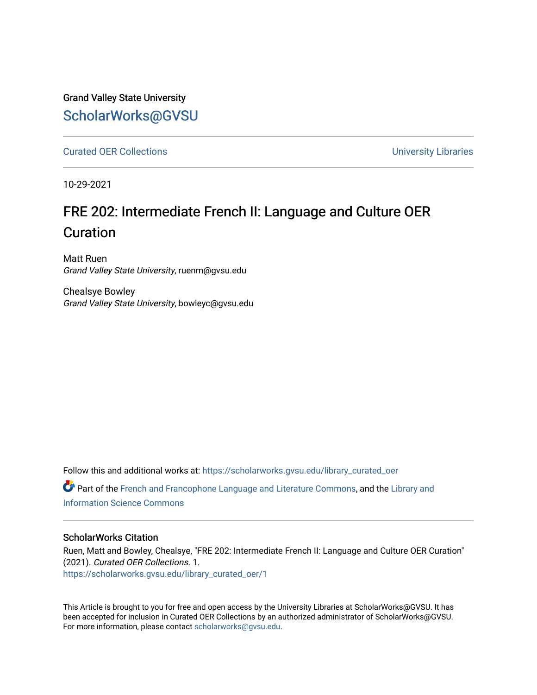Grand Valley State University [ScholarWorks@GVSU](https://scholarworks.gvsu.edu/) 

[Curated OER Collections](https://scholarworks.gvsu.edu/library_curated_oer) **Curated OER Collections University Libraries** 

10-29-2021

## FRE 202: Intermediate French II: Language and Culture OER Curation

Matt Ruen Grand Valley State University, ruenm@gvsu.edu

Chealsye Bowley Grand Valley State University, bowleyc@gvsu.edu

Follow this and additional works at: [https://scholarworks.gvsu.edu/library\\_curated\\_oer](https://scholarworks.gvsu.edu/library_curated_oer?utm_source=scholarworks.gvsu.edu%2Flibrary_curated_oer%2F1&utm_medium=PDF&utm_campaign=PDFCoverPages) Part of the [French and Francophone Language and Literature Commons,](http://network.bepress.com/hgg/discipline/463?utm_source=scholarworks.gvsu.edu%2Flibrary_curated_oer%2F1&utm_medium=PDF&utm_campaign=PDFCoverPages) and the [Library and](http://network.bepress.com/hgg/discipline/1018?utm_source=scholarworks.gvsu.edu%2Flibrary_curated_oer%2F1&utm_medium=PDF&utm_campaign=PDFCoverPages) [Information Science Commons](http://network.bepress.com/hgg/discipline/1018?utm_source=scholarworks.gvsu.edu%2Flibrary_curated_oer%2F1&utm_medium=PDF&utm_campaign=PDFCoverPages) 

#### ScholarWorks Citation

Ruen, Matt and Bowley, Chealsye, "FRE 202: Intermediate French II: Language and Culture OER Curation" (2021). Curated OER Collections. 1. [https://scholarworks.gvsu.edu/library\\_curated\\_oer/1](https://scholarworks.gvsu.edu/library_curated_oer/1?utm_source=scholarworks.gvsu.edu%2Flibrary_curated_oer%2F1&utm_medium=PDF&utm_campaign=PDFCoverPages)

This Article is brought to you for free and open access by the University Libraries at ScholarWorks@GVSU. It has been accepted for inclusion in Curated OER Collections by an authorized administrator of ScholarWorks@GVSU. For more information, please contact [scholarworks@gvsu.edu.](mailto:scholarworks@gvsu.edu)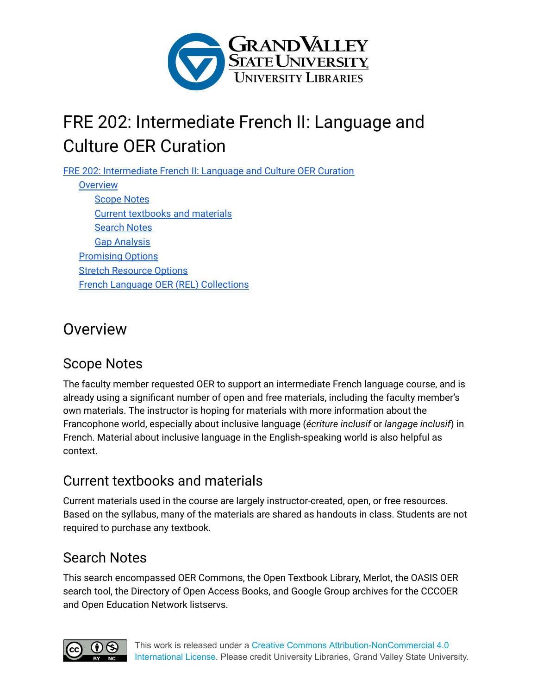

# <span id="page-1-0"></span>FRE 202: Intermediate French II: Language and Culture OER Curation

FRE 202: [Intermediate](#page-1-0) French II: Language and Culture OER Curation

**[Overview](#page-1-1)** [Scope](#page-1-2) Notes Current [textbooks](#page-1-3) and materials [Search](#page-1-4) Notes Gap [Analysis](#page-2-0) [Promising](#page-2-1) Options **Stretch [Resource](#page-3-0) Options** French Language OER (REL) [Collections](#page-6-0)

## <span id="page-1-1"></span>**Overview**

### <span id="page-1-2"></span>Scope Notes

The faculty member requested OER to support an intermediate French language course, and is already using a significant number of open and free materials, including the faculty member's own materials. The instructor is hoping for materials with more information about the Francophone world, especially about inclusive language (*écriture inclusif* or *langage inclusif*) in French. Material about inclusive language in the English-speaking world is also helpful as context.

## <span id="page-1-3"></span>Current textbooks and materials

Current materials used in the course are largely instructor-created, open, or free resources. Based on the syllabus, many of the materials are shared as handouts in class. Students are not required to purchase any textbook.

## <span id="page-1-4"></span>Search Notes

This search encompassed OER Commons, the Open Textbook Library, Merlot, the OASIS OER search tool, the Directory of Open Access Books, and Google Group archives for the CCCOER and Open Education Network listservs.

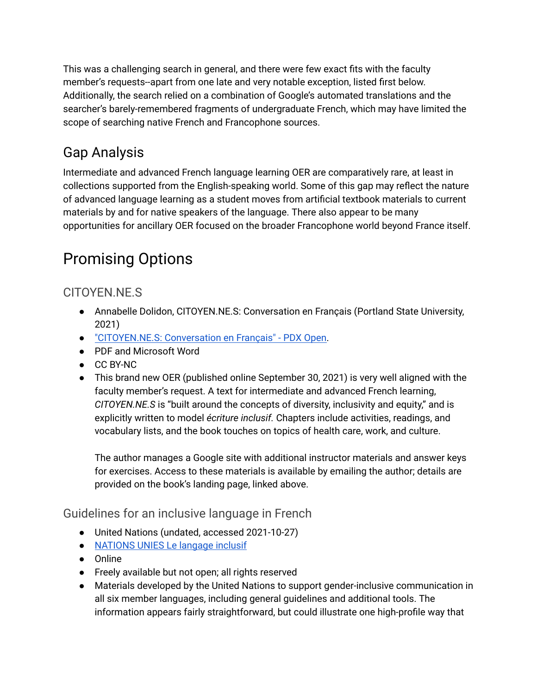This was a challenging search in general, and there were few exact fits with the faculty member's requests--apart from one late and very notable exception, listed first below. Additionally, the search relied on a combination of Google's automated translations and the searcher's barely-remembered fragments of undergraduate French, which may have limited the scope of searching native French and Francophone sources.

## <span id="page-2-0"></span>Gap Analysis

Intermediate and advanced French language learning OER are comparatively rare, at least in collections supported from the English-speaking world. Some of this gap may reflect the nature of advanced language learning as a student moves from artificial textbook materials to current materials by and for native speakers of the language. There also appear to be many opportunities for ancillary OER focused on the broader Francophone world beyond France itself.

# <span id="page-2-1"></span>Promising Options

### CITOYEN.NE.S

- Annabelle Dolidon, CITOYEN.NE.S: Conversation en Français (Portland State University, 2021)
- ["CITOYEN.NE.S:](https://pdxscholar.library.pdx.edu/pdxopen/40/) Conversation en Français" PDX Open.
- PDF and Microsoft Word
- CC BY-NC
- This brand new OER (published online September 30, 2021) is very well aligned with the faculty member's request. A text for intermediate and advanced French learning, *CITOYEN.NE.S* is "built around the concepts of diversity, inclusivity and equity," and is explicitly written to model *écriture inclusif.* Chapters include activities, readings, and vocabulary lists, and the book touches on topics of health care, work, and culture.

The author manages a Google site with additional instructor materials and answer keys for exercises. Access to these materials is available by emailing the author; details are provided on the book's landing page, linked above.

Guidelines for an inclusive language in French

- United Nations (undated, accessed 2021-10-27)
- [NATIONS](https://www.un.org/fr/gender-inclusive-language/guidelines.shtml) UNIES Le langage inclusif
- Online
- Freely available but not open; all rights reserved
- Materials developed by the United Nations to support gender-inclusive communication in all six member languages, including general guidelines and additional tools. The information appears fairly straightforward, but could illustrate one high-profile way that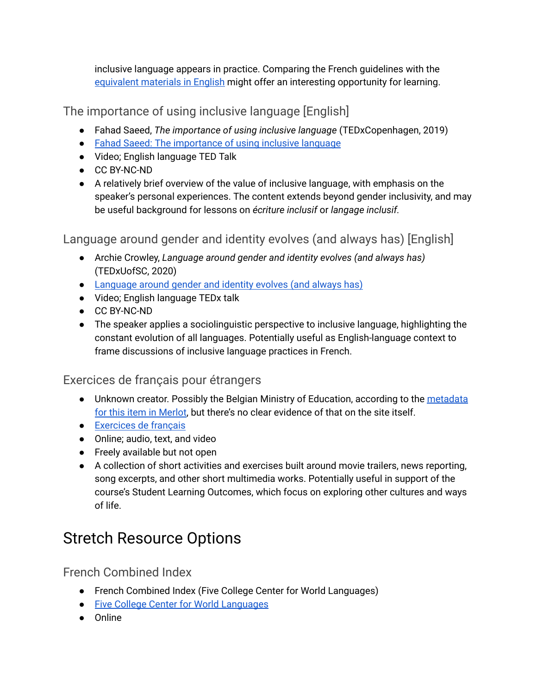inclusive language appears in practice. Comparing the French guidelines with the [equivalent](https://www.un.org/en/gender-inclusive-language/guidelines.shtml) materials in English might offer an interesting opportunity for learning.

The importance of using inclusive language [English]

- Fahad Saeed, *The importance of using inclusive language* (TEDxCopenhagen, 2019)
- Fahad Saeed: The [importance](https://www.ted.com/talks/fahad_saeed_the_importance_of_using_inclusive_language) of using inclusive language
- Video; English language TED Talk
- CC BY-NC-ND
- A relatively brief overview of the value of inclusive language, with emphasis on the speaker's personal experiences. The content extends beyond gender inclusivity, and may be useful background for lessons on *écriture inclusif* or *langage inclusif.*

Language around gender and identity evolves (and always has) [English]

- Archie Crowley, *Language around gender and identity evolves (and always has)* (TEDxUofSC, 2020)
- [Language](https://www.ted.com/talks/archie_crowley_language_around_gender_and_identity_evolves_and_always_has) around gender and identity evolves (and always has)
- Video; English language TEDx talk
- CC BY-NC-ND
- The speaker applies a sociolinguistic perspective to inclusive language, highlighting the constant evolution of all languages. Potentially useful as English-language context to frame discussions of inclusive language practices in French.

### Exercices de français pour étrangers

- Unknown creator. Possibly the Belgian Ministry of Education, according to the [metadata](https://www.merlot.org/merlot/viewMaterial.htm?id=676058) for this item in [Merlot,](https://www.merlot.org/merlot/viewMaterial.htm?id=676058) but there's no clear evidence of that on the site itself.
- [Exercices](http://fr.ver-taal.com/index.htm) de français
- Online; audio, text, and video
- Freely available but not open
- A collection of short activities and exercises built around movie trailers, news reporting, song excerpts, and other short multimedia works. Potentially useful in support of the course's Student Learning Outcomes, which focus on exploring other cultures and ways of life.

# <span id="page-3-0"></span>Stretch Resource Options

French Combined Index

- French Combined Index (Five College Center for World Languages)
- Five College Center for World [Languages](https://langmedia.fivecolleges.edu/combined-lbc-topics/39)
- Online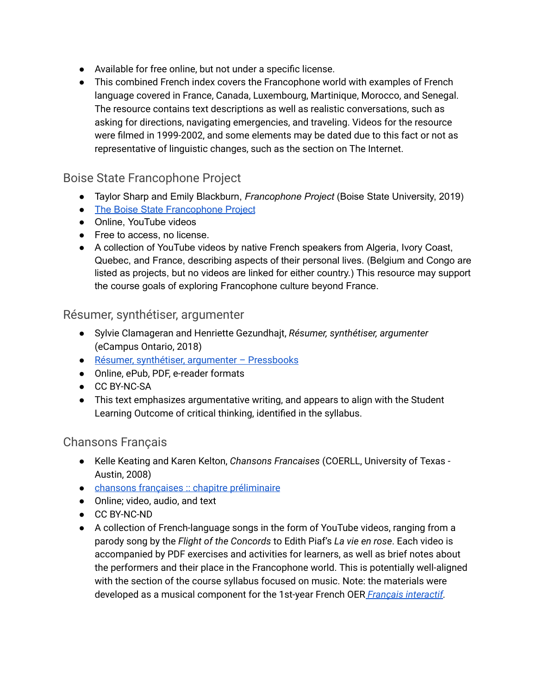- Available for free online, but not under a specific license.
- This combined French index covers the Francophone world with examples of French language covered in France, Canada, Luxembourg, Martinique, Morocco, and Senegal. The resource contains text descriptions as well as realistic conversations, such as asking for directions, navigating emergencies, and traveling. Videos for the resource were filmed in 1999-2002, and some elements may be dated due to this fact or not as representative of linguistic changes, such as the section on The Internet.

#### Boise State Francophone Project

- Taylor Sharp and Emily Blackburn, *Francophone Project* (Boise State University, 2019)
- The Boise State [Francophone](https://francophoneid.wordpress.com/) Project
- Online, YouTube videos
- Free to access, no license.
- A collection of YouTube videos by native French speakers from Algeria, Ivory Coast, Quebec, and France, describing aspects of their personal lives. (Belgium and Congo are listed as projects, but no videos are linked for either country.) This resource may support the course goals of exploring Francophone culture beyond France.

#### Résumer, synthétiser, argumenter

- Sylvie Clamageran and Henriette Gezundhajt, *Résumer, synthétiser, argumenter* (eCampus Ontario, 2018)
- Résumer, synthétiser, argumenter [Pressbooks](https://ecampusontario.pressbooks.pub/resumersynthetiserargumenter/)
- Online, ePub, PDF, e-reader formats
- CC BY-NC-SA
- This text emphasizes argumentative writing, and appears to align with the Student Learning Outcome of critical thinking, identified in the syllabus.

#### Chansons Français

- Kelle Keating and Karen Kelton, *Chansons Francaises* (COERLL, University of Texas Austin, 2008)
- chansons françaises :: chapitre [préliminaire](https://www.coerll.utexas.edu/chansons/)
- Online; video, audio, and text
- CC BY-NC-ND
- A collection of French-language songs in the form of YouTube videos, ranging from a parody song by the *Flight of the Concords* to Edith Piaf's *La vie en rose*. Each video is accompanied by PDF exercises and activities for learners, as well as brief notes about the performers and their place in the Francophone world. This is potentially well-aligned with the section of the course syllabus focused on music. Note: the materials were developed as a musical component for the 1st-year French OER *Français [interactif.](https://www.laits.utexas.edu/fi/home)*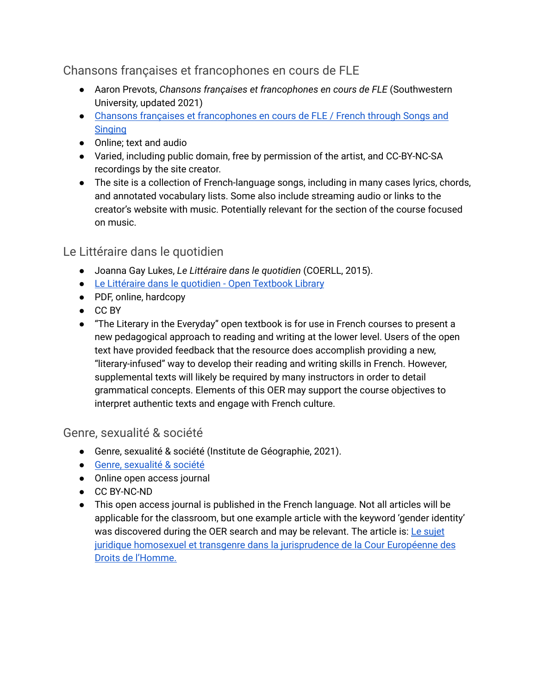Chansons françaises et francophones en cours de FLE

- Aaron Prevots, *Chansons françaises et francophones en cours de FLE* (Southwestern University, updated 2021)
- Chansons françaises et [francophones](https://people.southwestern.edu/~prevots/songs/) en cours de FLE / French through Songs and **[Singing](https://people.southwestern.edu/~prevots/songs/)**
- Online; text and audio
- Varied, including public domain, free by permission of the artist, and CC-BY-NC-SA recordings by the site creator.
- The site is a collection of French-language songs, including in many cases lyrics, chords, and annotated vocabulary lists. Some also include streaming audio or links to the creator's website with music. Potentially relevant for the section of the course focused on music.

#### Le Littéraire dans le quotidien

- Joanna Gay Lukes, *Le Littéraire dans le quotidien* (COERLL, 2015).
- Le Littéraire dans le [quotidien](https://open.umn.edu/opentextbooks/textbooks/le-litteraire-dans-le-quotidien) Open Textbook Library
- PDF, online, hardcopy
- CC BY
- "The Literary in the Everyday" open textbook is for use in French courses to present a new pedagogical approach to reading and writing at the lower level. Users of the open text have provided feedback that the resource does accomplish providing a new, "literary-infused" way to develop their reading and writing skills in French. However, supplemental texts will likely be required by many instructors in order to detail grammatical concepts. Elements of this OER may support the course objectives to interpret authentic texts and engage with French culture.

#### Genre, sexualité & société

- Genre, sexualité & société (Institute de Géographie, 2021).
- Genre, [sexualité](https://journals.openedition.org/gss/index.html) & société
- Online open access journal
- CC BY-NC-ND
- This open access journal is published in the French language. Not all articles will be applicable for the classroom, but one example article with the keyword 'gender identity' was discovered during the OER search and may be relevant. The article is: Le [sujet](https://journals.openedition.org/gss/3727) juridique homosexuel et transgenre dans la [jurisprudence](https://journals.openedition.org/gss/3727) de la Cour Européenne des Droits de [l'Homme.](https://journals.openedition.org/gss/3727)